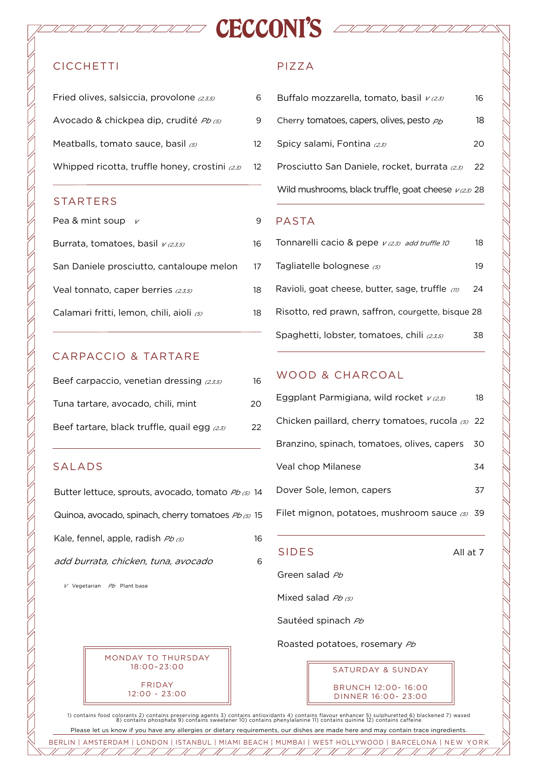# **CICCHETTI**

| Fried olives, salsiccia, provolone (2,3,5)          |    |
|-----------------------------------------------------|----|
| Avocado & chickpea dip, crudité <i>Pb (5)</i>       | 9  |
| Meatballs, tomato sauce, basil $\sigma$             | 12 |
| Whipped ricotta, truffle honey, crostini $_{(2,3)}$ | 12 |

#### STARTERS

| Pea & mint soup $\nu$                    | 9  |
|------------------------------------------|----|
| Burrata, tomatoes, basil $v_{(2,3,5)}$   | 16 |
| San Daniele prosciutto, cantaloupe melon | 17 |
| Veal tonnato, caper berries (2,3,5)      | 18 |
| Calamari fritti, lemon, chili, aioli (5) | 18 |

# CARPACCIO & TARTARE

| Beef carpaccio, venetian dressing $(2,3,5)$    | 16 |
|------------------------------------------------|----|
| Tuna tartare, avocado, chili, mint             | 20 |
| Beef tartare, black truffle, quail egg $(2,3)$ | 22 |

## SALADS

 $7/7/$ 

| Butter lettuce, sprouts, avocado, tomato Pb (5) 14  |    |
|-----------------------------------------------------|----|
| Quinoa, avocado, spinach, cherry tomatoes Pb (5) 15 |    |
| Kale, fennel, apple, radish Pb (5)                  | 16 |
| add burrata, chicken, tuna, avocado                 | ൳  |
|                                                     |    |

 $V$  Vegetarian  $Pb$  Plant base



# PIZZA

HANDRICK CECCONI'S ANDRICK

| Buffalo mozzarella, tomato, basil vass                               | 16  |
|----------------------------------------------------------------------|-----|
| Cherry tomatoes, capers, olives, pesto $\rho_b$                      | 18. |
| Spicy salami, Fontina <sub>(23)</sub>                                | 20. |
| Prosciutto San Daniele, rocket, burrata (2,3)                        | 22  |
| Wild mushrooms, black truffle, goat cheese $\nu$ $\alpha$ $\beta$ 28 |     |
|                                                                      |     |

#### PASTA

| Tonnarelli cacio & pepe $v$ (2,3) add truffle 10       | 18  |
|--------------------------------------------------------|-----|
| Tagliatelle bolognese $\omega$                         | 19. |
| Ravioli, goat cheese, butter, sage, truffle $\omega$   | 24  |
| Risotto, red prawn, saffron, courgette, bisque 28      |     |
| Spaghetti, lobster, tomatoes, chili <sub>(2,3,5)</sub> | 38  |

# WOOD & CHARCOAL

| Eggplant Parmigiana, wild rocket $v_{(2,3)}$       | 18 |
|----------------------------------------------------|----|
| Chicken paillard, cherry tomatoes, rucola (5) 22   |    |
| Branzino, spinach, tomatoes, olives, capers        | 30 |
| Veal chop Milanese                                 | 34 |
| Dover Sole, lemon, capers                          | 37 |
| Filet mignon, potatoes, mushroom sauce $\omega$ 39 |    |

#### SIDES All at 7

Green salad Pb

Mixed salad  $Pb(5)$ 

Sautéed spinach Pb

Roasted potatoes, rosemary Pb

SATURDAY & SUNDAY

BRUNCH 12:00- 16:00 DINNER 16:00- 23:00

 $\overline{\phantom{a}}$ 

 $\overline{\mathscr{U}}$ 

1) contains food colorants 2) contains preserving agents 3) contains antioxidants 4) contains flavour enhancer 5) sulphuretted 6) blackened 7) waxed<br>8) contains phosphate 9) contains sweetener 10) contains phenylalanine 11

BERLIN | AMSTERDAM | LONDON | ISTANBUL | MIAMI BEACH | MUMBAI | WEST HOLLYWOOD | BARCELONA | NEW YORK Please let us know if you have any allergies or dietary requirements, our dishes are made here and may contain trace ingredients.